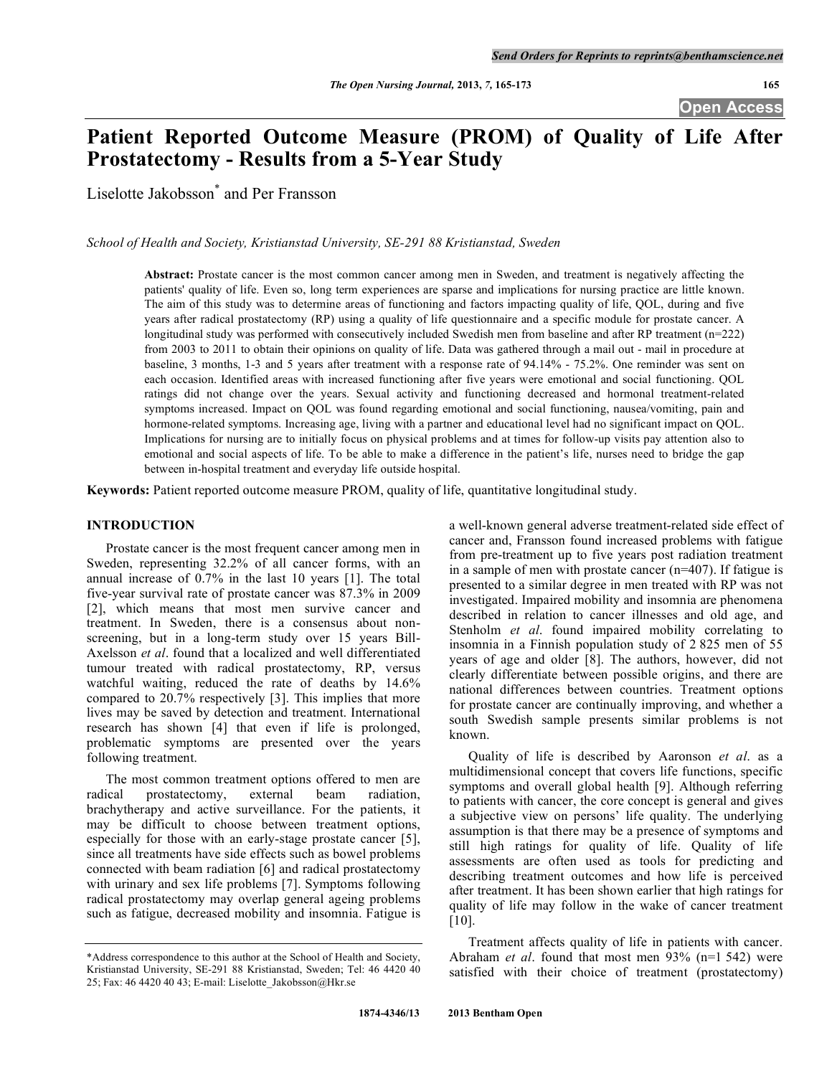# **Patient Reported Outcome Measure (PROM) of Quality of Life After Prostatectomy - Results from a 5-Year Study**

Liselotte Jakobsson\* and Per Fransson

*School of Health and Society, Kristianstad University, SE-291 88 Kristianstad, Sweden*

**Abstract:** Prostate cancer is the most common cancer among men in Sweden, and treatment is negatively affecting the patients' quality of life. Even so, long term experiences are sparse and implications for nursing practice are little known. The aim of this study was to determine areas of functioning and factors impacting quality of life, QOL, during and five years after radical prostatectomy (RP) using a quality of life questionnaire and a specific module for prostate cancer. A longitudinal study was performed with consecutively included Swedish men from baseline and after RP treatment (n=222) from 2003 to 2011 to obtain their opinions on quality of life. Data was gathered through a mail out - mail in procedure at baseline, 3 months, 1-3 and 5 years after treatment with a response rate of 94.14% - 75.2%. One reminder was sent on each occasion. Identified areas with increased functioning after five years were emotional and social functioning. QOL ratings did not change over the years. Sexual activity and functioning decreased and hormonal treatment-related symptoms increased. Impact on QOL was found regarding emotional and social functioning, nausea/vomiting, pain and hormone-related symptoms. Increasing age, living with a partner and educational level had no significant impact on QOL. Implications for nursing are to initially focus on physical problems and at times for follow-up visits pay attention also to emotional and social aspects of life. To be able to make a difference in the patient's life, nurses need to bridge the gap between in-hospital treatment and everyday life outside hospital.

**Keywords:** Patient reported outcome measure PROM, quality of life, quantitative longitudinal study.

# **INTRODUCTION**

Prostate cancer is the most frequent cancer among men in Sweden, representing 32.2% of all cancer forms, with an annual increase of 0.7% in the last 10 years [1]. The total five-year survival rate of prostate cancer was 87.3% in 2009 [2], which means that most men survive cancer and treatment. In Sweden, there is a consensus about nonscreening, but in a long-term study over 15 years Bill-Axelsson *et al*. found that a localized and well differentiated tumour treated with radical prostatectomy, RP, versus watchful waiting, reduced the rate of deaths by 14.6% compared to 20.7% respectively [3]. This implies that more lives may be saved by detection and treatment. International research has shown [4] that even if life is prolonged, problematic symptoms are presented over the years following treatment.

The most common treatment options offered to men are radical prostatectomy, external beam radiation, brachytherapy and active surveillance. For the patients, it may be difficult to choose between treatment options, especially for those with an early-stage prostate cancer [5], since all treatments have side effects such as bowel problems connected with beam radiation [6] and radical prostatectomy with urinary and sex life problems [7]. Symptoms following radical prostatectomy may overlap general ageing problems such as fatigue, decreased mobility and insomnia. Fatigue is

a well-known general adverse treatment-related side effect of cancer and, Fransson found increased problems with fatigue from pre-treatment up to five years post radiation treatment in a sample of men with prostate cancer (n=407). If fatigue is presented to a similar degree in men treated with RP was not investigated. Impaired mobility and insomnia are phenomena described in relation to cancer illnesses and old age, and Stenholm *et al*. found impaired mobility correlating to insomnia in a Finnish population study of 2 825 men of 55 years of age and older [8]. The authors, however, did not clearly differentiate between possible origins, and there are national differences between countries. Treatment options for prostate cancer are continually improving, and whether a south Swedish sample presents similar problems is not known.

Quality of life is described by Aaronson *et al*. as a multidimensional concept that covers life functions, specific symptoms and overall global health [9]. Although referring to patients with cancer, the core concept is general and gives a subjective view on persons' life quality. The underlying assumption is that there may be a presence of symptoms and still high ratings for quality of life. Quality of life assessments are often used as tools for predicting and describing treatment outcomes and how life is perceived after treatment. It has been shown earlier that high ratings for quality of life may follow in the wake of cancer treatment [10].

Treatment affects quality of life in patients with cancer. Abraham *et al*. found that most men 93% (n=1 542) were satisfied with their choice of treatment (prostatectomy)

<sup>\*</sup>Address correspondence to this author at the School of Health and Society, Kristianstad University, SE-291 88 Kristianstad, Sweden; Tel: 46 4420 40 25; Fax: 46 4420 40 43; E-mail: Liselotte\_Jakobsson@Hkr.se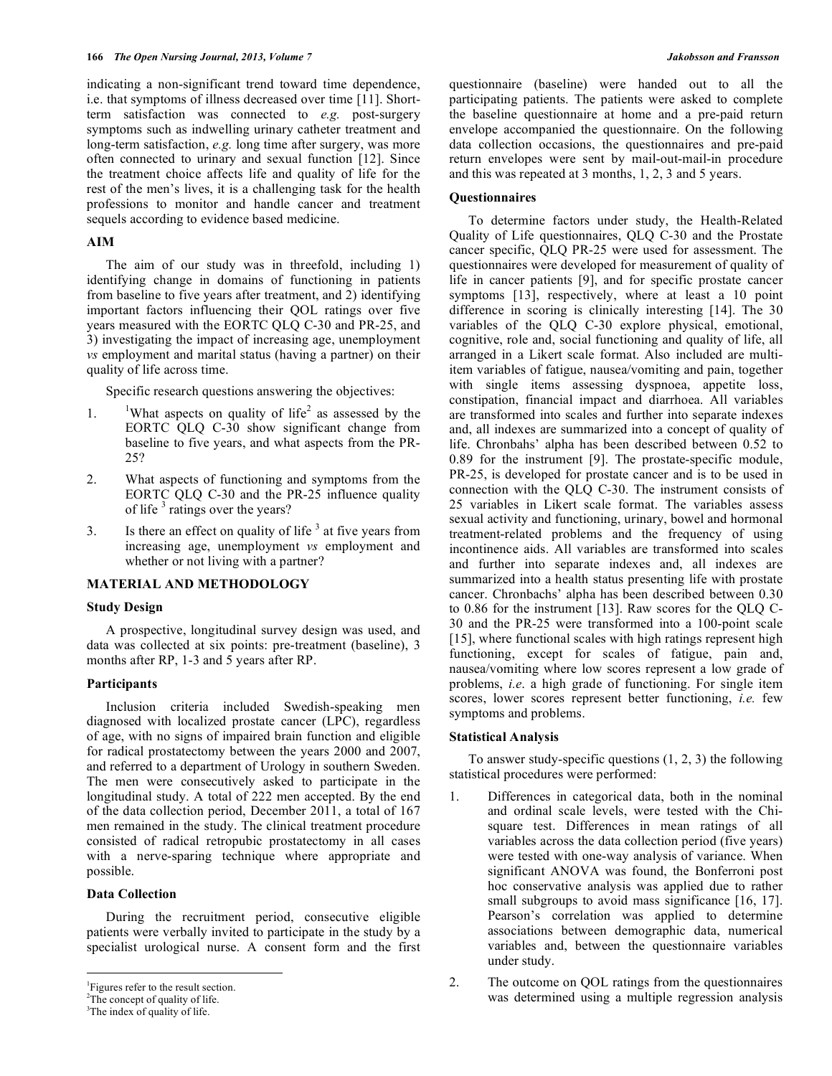indicating a non-significant trend toward time dependence, i.e. that symptoms of illness decreased over time [11]. Shortterm satisfaction was connected to *e.g.* post-surgery symptoms such as indwelling urinary catheter treatment and long-term satisfaction, *e.g.* long time after surgery, was more often connected to urinary and sexual function [12]. Since the treatment choice affects life and quality of life for the rest of the men's lives, it is a challenging task for the health professions to monitor and handle cancer and treatment sequels according to evidence based medicine.

# **AIM**

The aim of our study was in threefold, including 1) identifying change in domains of functioning in patients from baseline to five years after treatment, and 2) identifying important factors influencing their QOL ratings over five years measured with the EORTC QLQ C-30 and PR-25, and 3) investigating the impact of increasing age, unemployment *vs* employment and marital status (having a partner) on their quality of life across time.

Specific research questions answering the objectives:

- 1. <sup>1</sup> What aspects on quality of life<sup>2</sup> as assessed by the EORTC QLQ C-30 show significant change from baseline to five years, and what aspects from the PR-25?
- 2. What aspects of functioning and symptoms from the EORTC QLQ C-30 and the PR-25 influence quality of life<sup>3</sup> ratings over the years?
- 3. Is there an effect on quality of life<sup>3</sup> at five years from increasing age, unemployment *vs* employment and whether or not living with a partner?

# **MATERIAL AND METHODOLOGY**

# **Study Design**

A prospective, longitudinal survey design was used, and data was collected at six points: pre-treatment (baseline), 3 months after RP, 1-3 and 5 years after RP.

#### **Participants**

Inclusion criteria included Swedish-speaking men diagnosed with localized prostate cancer (LPC), regardless of age, with no signs of impaired brain function and eligible for radical prostatectomy between the years 2000 and 2007, and referred to a department of Urology in southern Sweden. The men were consecutively asked to participate in the longitudinal study. A total of 222 men accepted. By the end of the data collection period, December 2011, a total of 167 men remained in the study. The clinical treatment procedure consisted of radical retropubic prostatectomy in all cases with a nerve-sparing technique where appropriate and possible.

# **Data Collection**

During the recruitment period, consecutive eligible patients were verbally invited to participate in the study by a specialist urological nurse. A consent form and the first

<sup>2</sup>The concept of quality of life.

questionnaire (baseline) were handed out to all the participating patients. The patients were asked to complete the baseline questionnaire at home and a pre-paid return envelope accompanied the questionnaire. On the following data collection occasions, the questionnaires and pre-paid return envelopes were sent by mail-out-mail-in procedure and this was repeated at 3 months, 1, 2, 3 and 5 years.

#### **Questionnaires**

To determine factors under study, the Health-Related Quality of Life questionnaires, QLQ C-30 and the Prostate cancer specific, QLQ PR-25 were used for assessment. The questionnaires were developed for measurement of quality of life in cancer patients [9], and for specific prostate cancer symptoms [13], respectively, where at least a 10 point difference in scoring is clinically interesting [14]. The 30 variables of the QLQ C-30 explore physical, emotional, cognitive, role and, social functioning and quality of life, all arranged in a Likert scale format. Also included are multiitem variables of fatigue, nausea/vomiting and pain, together with single items assessing dyspnoea, appetite loss, constipation, financial impact and diarrhoea. All variables are transformed into scales and further into separate indexes and, all indexes are summarized into a concept of quality of life. Chronbahs' alpha has been described between 0.52 to 0.89 for the instrument [9]. The prostate-specific module, PR-25, is developed for prostate cancer and is to be used in connection with the QLQ C-30. The instrument consists of 25 variables in Likert scale format. The variables assess sexual activity and functioning, urinary, bowel and hormonal treatment-related problems and the frequency of using incontinence aids. All variables are transformed into scales and further into separate indexes and, all indexes are summarized into a health status presenting life with prostate cancer. Chronbachs' alpha has been described between 0.30 to 0.86 for the instrument [13]. Raw scores for the QLQ C-30 and the PR-25 were transformed into a 100-point scale [15], where functional scales with high ratings represent high functioning, except for scales of fatigue, pain and, nausea/vomiting where low scores represent a low grade of problems, *i.e*. a high grade of functioning. For single item scores, lower scores represent better functioning, *i.e.* few symptoms and problems.

## **Statistical Analysis**

To answer study-specific questions (1, 2, 3) the following statistical procedures were performed:

- 1. Differences in categorical data, both in the nominal and ordinal scale levels, were tested with the Chisquare test. Differences in mean ratings of all variables across the data collection period (five years) were tested with one-way analysis of variance. When significant ANOVA was found, the Bonferroni post hoc conservative analysis was applied due to rather small subgroups to avoid mass significance [16, 17]. Pearson's correlation was applied to determine associations between demographic data, numerical variables and, between the questionnaire variables under study.
- 2. The outcome on QOL ratings from the questionnaires was determined using a multiple regression analysis

 $\frac{1}{1}$ <sup>1</sup>Figures refer to the result section.

<sup>&</sup>lt;sup>3</sup>The index of quality of life.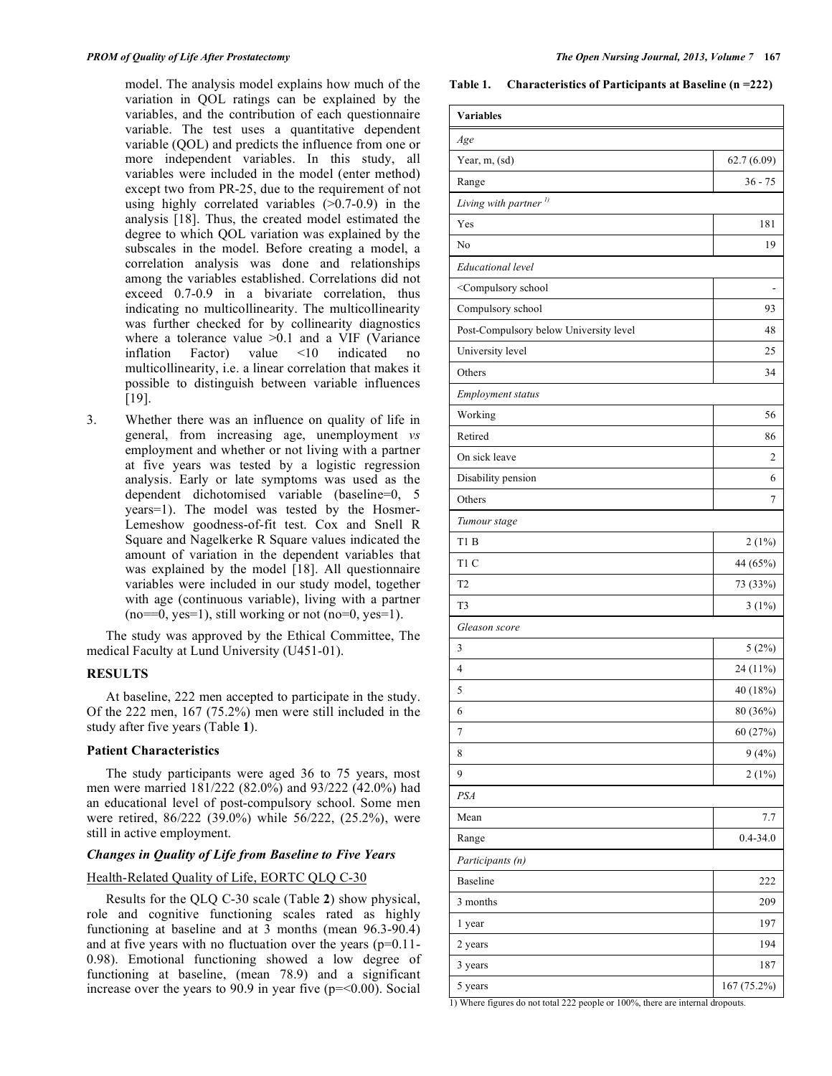model. The analysis model explains how much of the variation in QOL ratings can be explained by the variables, and the contribution of each questionnaire variable. The test uses a quantitative dependent variable (QOL) and predicts the influence from one or more independent variables. In this study, all variables were included in the model (enter method) except two from PR-25, due to the requirement of not using highly correlated variables  $(>0.7-0.9)$  in the analysis [18]. Thus, the created model estimated the degree to which QOL variation was explained by the subscales in the model. Before creating a model, a correlation analysis was done and relationships among the variables established. Correlations did not exceed 0.7-0.9 in a bivariate correlation, thus indicating no multicollinearity. The multicollinearity was further checked for by collinearity diagnostics where a tolerance value  $>0.1$  and a VIF (Variance inflation Factor) value <10 indicated no multicollinearity, i.e. a linear correlation that makes it possible to distinguish between variable influences [19].

3. Whether there was an influence on quality of life in general, from increasing age, unemployment *vs* employment and whether or not living with a partner at five years was tested by a logistic regression analysis. Early or late symptoms was used as the dependent dichotomised variable (baseline=0, 5 years=1). The model was tested by the Hosmer-Lemeshow goodness-of-fit test. Cox and Snell R Square and Nagelkerke R Square values indicated the amount of variation in the dependent variables that was explained by the model [18]. All questionnaire variables were included in our study model, together with age (continuous variable), living with a partner  $(no==0, yes=1)$ , still working or not  $(no=0, yes=1)$ .

The study was approved by the Ethical Committee, The medical Faculty at Lund University (U451-01).

# **RESULTS**

At baseline, 222 men accepted to participate in the study. Of the 222 men, 167 (75.2%) men were still included in the study after five years (Table **1**).

## **Patient Characteristics**

The study participants were aged 36 to 75 years, most men were married 181/222 (82.0%) and 93/222 (42.0%) had an educational level of post-compulsory school. Some men were retired, 86/222 (39.0%) while 56/222, (25.2%), were still in active employment.

# *Changes in Quality of Life from Baseline to Five Years*

# Health-Related Quality of Life, EORTC QLQ C-30

Results for the QLQ C-30 scale (Table **2**) show physical, role and cognitive functioning scales rated as highly functioning at baseline and at 3 months (mean 96.3-90.4) and at five years with no fluctuation over the years (p=0.11- 0.98). Emotional functioning showed a low degree of functioning at baseline, (mean 78.9) and a significant increase over the years to 90.9 in year five  $(p=0.00)$ . Social

**Table 1. Characteristics of Participants at Baseline (n =222)**

| <b>Variables</b>                                                                          |              |
|-------------------------------------------------------------------------------------------|--------------|
| Age                                                                                       |              |
| Year, m, (sd)                                                                             | 62.7(6.09)   |
| Range                                                                                     | $36 - 75$    |
| Living with partner <sup>1)</sup>                                                         |              |
| Yes                                                                                       | 181          |
| No                                                                                        | 19           |
| Educational level                                                                         |              |
| <compulsory school<="" td=""><td></td></compulsory>                                       |              |
| Compulsory school                                                                         | 93           |
| Post-Compulsory below University level                                                    | 48           |
| University level                                                                          | 25           |
| Others                                                                                    | 34           |
| Employment status                                                                         |              |
| Working                                                                                   | 56           |
| Retired                                                                                   | 86           |
| On sick leave                                                                             | 2            |
| Disability pension                                                                        | 6            |
| Others                                                                                    | 7            |
| Tumour stage                                                                              |              |
| T1B                                                                                       | 2(1%)        |
| T1 C                                                                                      | 44 (65%)     |
| T <sub>2</sub>                                                                            | 73 (33%)     |
| T <sub>3</sub>                                                                            | $3(1\%)$     |
| Gleason score                                                                             |              |
| 3                                                                                         | 5(2%)        |
| 4                                                                                         | 24 (11%)     |
| 5                                                                                         | 40 (18%)     |
| 6                                                                                         | 80 (36%)     |
| $\boldsymbol{7}$                                                                          | 60 (27%)     |
| 8                                                                                         | 9(4%)        |
| 9                                                                                         | 2(1%)        |
| PSA                                                                                       |              |
| Mean                                                                                      | 7.7          |
| Range                                                                                     | $0.4 - 34.0$ |
| Participants (n)                                                                          |              |
| <b>Baseline</b>                                                                           | 222          |
| 3 months                                                                                  | 209          |
| 1 year                                                                                    | 197          |
| 2 years                                                                                   | 194          |
| 3 years                                                                                   | 187          |
| 5 years<br>1) Where figures do not total 222 people or 100%, there are internal dropouts. | 167 (75.2%)  |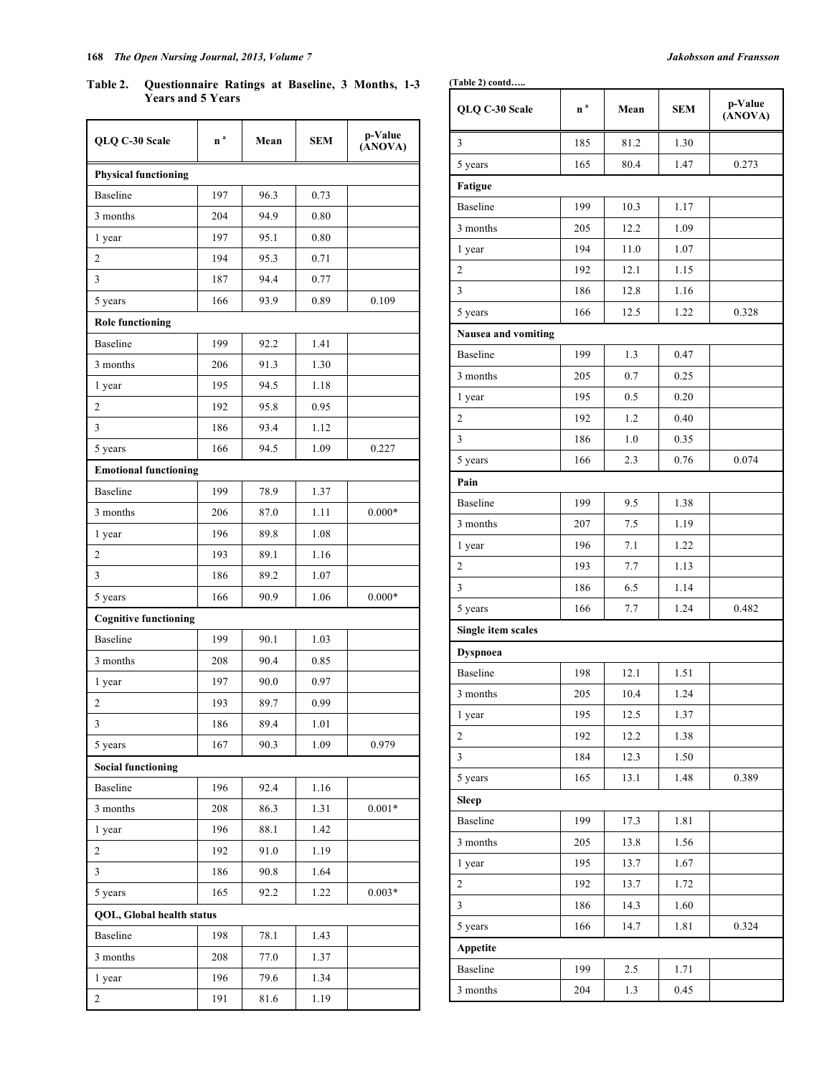# **168** *The Open Nursing Journal, 2013, Volume 7 Jakobsson and Fransson*

**Table 2. Questionnaire Ratings at Baseline, 3 Months, 1-3 Years and 5 Years**

| QLQ C-30 Scale      | n <sup>a</sup> | Mean | <b>SEM</b> | p-Value<br>$(\hat{A}NOVA)$ |
|---------------------|----------------|------|------------|----------------------------|
| 3                   | 185            | 81.2 | 1.30       |                            |
| 5 years             | 165            | 80.4 | 1.47       | 0.273                      |
| Fatigue             |                |      |            |                            |
| <b>Baseline</b>     | 199            | 10.3 | 1.17       |                            |
| 3 months            | 205            | 12.2 | 1.09       |                            |
| 1 year              | 194            | 11.0 | 1.07       |                            |
| $\overline{2}$      | 192            | 12.1 | 1.15       |                            |
| 3                   | 186            | 12.8 | 1.16       |                            |
| 5 years             | 166            | 12.5 | 1.22       | 0.328                      |
| Nausea and vomiting |                |      |            |                            |
| <b>Baseline</b>     | 199            | 1.3  | 0.47       |                            |
| 3 months            | 205            | 0.7  | 0.25       |                            |
| 1 year              | 195            | 0.5  | 0.20       |                            |
| 2                   | 192            | 1.2  | 0.40       |                            |
| 3                   | 186            | 1.0  | 0.35       |                            |
| 5 years             | 166            | 2.3  | 0.76       | 0.074                      |
| Pain                |                |      |            |                            |
| <b>Baseline</b>     | 199            | 9.5  | 1.38       |                            |
| 3 months            | 207            | 7.5  | 1.19       |                            |
| 1 year              | 196            | 7.1  | 1.22       |                            |
| 2                   | 193            | 7.7  | 1.13       |                            |
| 3                   | 186            | 6.5  | 1.14       |                            |
| 5 years             | 166            | 7.7  | 1.24       | 0.482                      |
| Single item scales  |                |      |            |                            |
| <b>Dyspnoea</b>     |                |      |            |                            |
| <b>Baseline</b>     | 198            | 12.1 | 1.51       |                            |
| 3 months            | 205            | 10.4 | 1.24       |                            |
| 1 year              | 195            | 12.5 | 1.37       |                            |
| $\mathfrak{2}$      | 192            | 12.2 | 1.38       |                            |
| $\mathfrak{Z}$      | 184            | 12.3 | 1.50       |                            |
| 5 years             | 165            | 13.1 | 1.48       | 0.389                      |
| <b>Sleep</b>        |                |      |            |                            |
| <b>Baseline</b>     | 199            | 17.3 | 1.81       |                            |
| 3 months            | 205            | 13.8 | 1.56       |                            |
| 1 year              | 195            | 13.7 | 1.67       |                            |
| $\overline{c}$      | 192            | 13.7 | 1.72       |                            |
| 3                   | 186            | 14.3 | 1.60       |                            |
| 5 years             | 166            | 14.7 | 1.81       | 0.324                      |
| Appetite            |                |      |            |                            |
| Baseline            | 199            | 2.5  | 1.71       |                            |
| 3 months            | 204            | 1.3  | 0.45       |                            |

| rears and 5 rears            |                |      |      |                    |  |  |  |
|------------------------------|----------------|------|------|--------------------|--|--|--|
| QLQ C-30 Scale               | n <sup>a</sup> | Mean | SEM  | p-Value<br>(ANOVA) |  |  |  |
| <b>Physical functioning</b>  |                |      |      |                    |  |  |  |
| <b>Baseline</b>              | 197            | 96.3 | 0.73 |                    |  |  |  |
| 3 months                     | 204            | 94.9 | 0.80 |                    |  |  |  |
| 1 year                       | 197            | 95.1 | 0.80 |                    |  |  |  |
| 2                            | 194            | 95.3 | 0.71 |                    |  |  |  |
| 3                            | 187            | 94.4 | 0.77 |                    |  |  |  |
| 5 years                      | 166            | 93.9 | 0.89 | 0.109              |  |  |  |
| <b>Role functioning</b>      |                |      |      |                    |  |  |  |
| <b>Baseline</b>              | 199            | 92.2 | 1.41 |                    |  |  |  |
| 3 months                     | 206            | 91.3 | 1.30 |                    |  |  |  |
| 1 year                       | 195            | 94.5 | 1.18 |                    |  |  |  |
| $\overline{c}$               | 192            | 95.8 | 0.95 |                    |  |  |  |
| 3                            | 186            | 93.4 | 1.12 |                    |  |  |  |
| 5 years                      | 166            | 94.5 | 1.09 | 0.227              |  |  |  |
| <b>Emotional functioning</b> |                |      |      |                    |  |  |  |
| <b>Baseline</b>              | 199            | 78.9 | 1.37 |                    |  |  |  |
| 3 months                     | 206            | 87.0 | 1.11 | $0.000*$           |  |  |  |
| 1 year                       | 196            | 89.8 | 1.08 |                    |  |  |  |
| 2                            | 193            | 89.1 | 1.16 |                    |  |  |  |
| 3                            | 186            | 89.2 | 1.07 |                    |  |  |  |
| 5 years                      | 166            | 90.9 | 1.06 | $0.000*$           |  |  |  |
| <b>Cognitive functioning</b> |                |      |      |                    |  |  |  |
| <b>Baseline</b>              | 199            | 90.1 | 1.03 |                    |  |  |  |
| 3 months                     | 208            | 90.4 | 0.85 |                    |  |  |  |
| 1 year                       | 197            | 90.0 | 0.97 |                    |  |  |  |
| $\overline{\mathbf{c}}$      | 193            | 89.7 | 0.99 |                    |  |  |  |
| 3                            | 186            | 89.4 | 1.01 |                    |  |  |  |
| 5 years                      | 167            | 90.3 | 1.09 | 0.979              |  |  |  |
| <b>Social functioning</b>    |                |      |      |                    |  |  |  |
| Baseline                     | 196            | 92.4 | 1.16 |                    |  |  |  |
| 3 months                     | 208            | 86.3 | 1.31 | $0.001*$           |  |  |  |
| 1 year                       | 196            | 88.1 | 1.42 |                    |  |  |  |
| $\mathbf{2}$                 | 192            | 91.0 | 1.19 |                    |  |  |  |
| 3                            | 186            | 90.8 | 1.64 |                    |  |  |  |
| 5 years                      | 165            | 92.2 | 1.22 | $0.003*$           |  |  |  |
| QOL, Global health status    |                |      |      |                    |  |  |  |
| Baseline                     | 198            | 78.1 | 1.43 |                    |  |  |  |
| 3 months                     | 208            | 77.0 | 1.37 |                    |  |  |  |
| 1 year                       | 196            | 79.6 | 1.34 |                    |  |  |  |
| $\overline{c}$               | 191            | 81.6 | 1.19 |                    |  |  |  |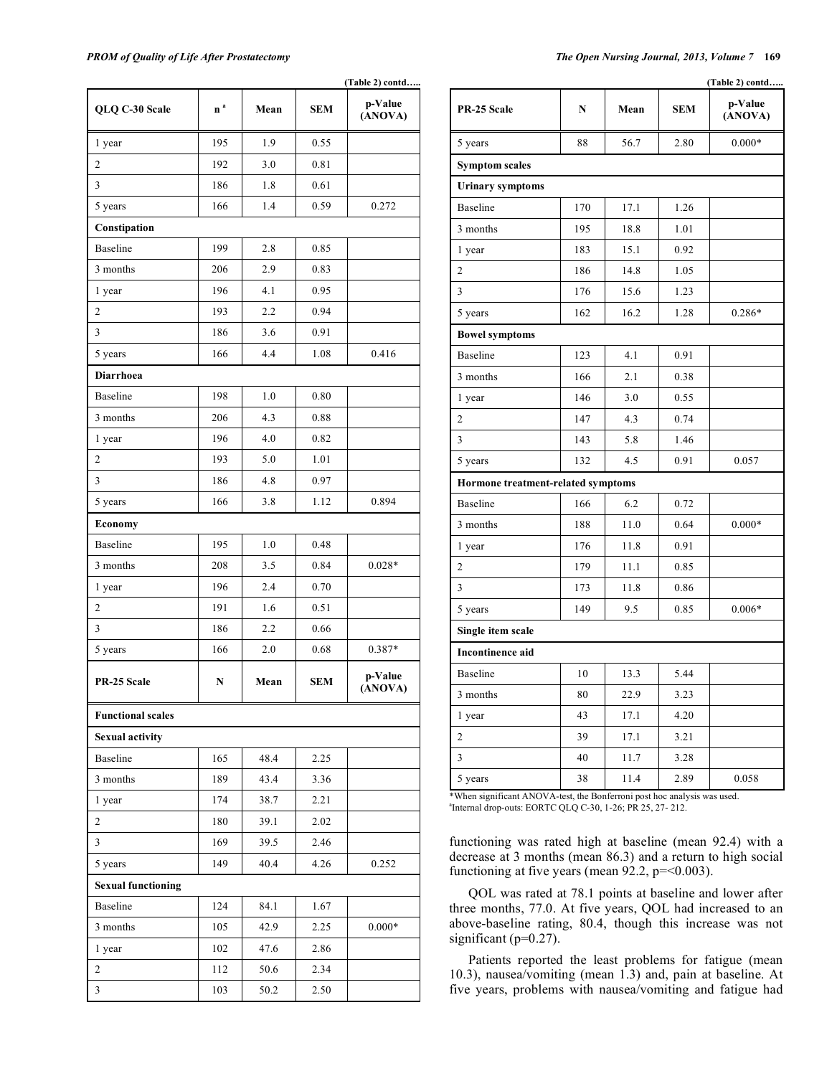|                           | (Table 2) contd |      |            |                    |  |
|---------------------------|-----------------|------|------------|--------------------|--|
| QLQ C-30 Scale            | n <sup>a</sup>  | Mean | <b>SEM</b> | p-Value<br>(ANOVA) |  |
| 1 year                    | 195             | 1.9  | 0.55       |                    |  |
| 2                         | 192             | 3.0  | 0.81       |                    |  |
| 3                         | 186             | 1.8  | 0.61       |                    |  |
| 5 years                   | 166             | 1.4  | 0.59       | 0.272              |  |
| Constipation              |                 |      |            |                    |  |
| <b>Baseline</b>           | 199             | 2.8  | 0.85       |                    |  |
| 3 months                  | 206             | 2.9  | 0.83       |                    |  |
| 1 year                    | 196             | 4.1  | 0.95       |                    |  |
| $\overline{c}$            | 193             | 2.2  | 0.94       |                    |  |
| 3                         | 186             | 3.6  | 0.91       |                    |  |
| 5 years                   | 166             | 4.4  | 1.08       | 0.416              |  |
| <b>Diarrhoea</b>          |                 |      |            |                    |  |
| <b>Baseline</b>           | 198             | 1.0  | 0.80       |                    |  |
| 3 months                  | 206             | 4.3  | 0.88       |                    |  |
| 1 year                    | 196             | 4.0  | 0.82       |                    |  |
| $\overline{c}$            | 193             | 5.0  | 1.01       |                    |  |
| 3                         | 186             | 4.8  | 0.97       |                    |  |
| 5 years                   | 166             | 3.8  | 1.12       | 0.894              |  |
| Economy                   |                 |      |            |                    |  |
| <b>Baseline</b>           | 195             | 1.0  | 0.48       |                    |  |
| 3 months                  | 208             | 3.5  | 0.84       | $0.028*$           |  |
| 1 year                    | 196             | 2.4  | 0.70       |                    |  |
| $\overline{2}$            | 191             | 1.6  | 0.51       |                    |  |
| 3                         | 186             | 2.2  | 0.66       |                    |  |
| 5 years                   | 166             | 2.0  | 0.68       | 0.387*             |  |
| PR-25 Scale               | N               | Mean | <b>SEM</b> | p-Value<br>(ANOVA) |  |
| <b>Functional scales</b>  |                 |      |            |                    |  |
| <b>Sexual activity</b>    |                 |      |            |                    |  |
| Baseline                  | 165             | 48.4 | 2.25       |                    |  |
| 3 months                  | 189             | 43.4 | 3.36       |                    |  |
| 1 year                    | 174             | 38.7 | 2.21       |                    |  |
| 2                         | 180             | 39.1 | 2.02       |                    |  |
| $\mathfrak{Z}$            | 169             | 39.5 | 2.46       |                    |  |
| 5 years                   | 149             | 40.4 | 4.26       | 0.252              |  |
| <b>Sexual functioning</b> |                 |      |            |                    |  |
| Baseline                  | 124             | 84.1 | 1.67       |                    |  |
| 3 months                  | 105             | 42.9 | 2.25       | $0.000\text{*}$    |  |
| 1 year                    | 102             | 47.6 | 2.86       |                    |  |
| $\overline{c}$            | 112             | 50.6 | 2.34       |                    |  |
| 3                         | 103             | 50.2 | 2.50       |                    |  |

*PROM of Quality of Life After Prostatectomy The Open Nursing Journal, 2013, Volume 7* **169**

|                                    | (Table 2) contd |      |      |                    |  |
|------------------------------------|-----------------|------|------|--------------------|--|
| PR-25 Scale                        | N               | Mean | SEM  | p-Value<br>(ANOVA) |  |
| 5 years                            | 88              | 56.7 | 2.80 | $0.000*$           |  |
| <b>Symptom scales</b>              |                 |      |      |                    |  |
| <b>Urinary symptoms</b>            |                 |      |      |                    |  |
| <b>Baseline</b>                    | 170             | 17.1 | 1.26 |                    |  |
| 3 months                           | 195             | 18.8 | 1.01 |                    |  |
| 1 year                             | 183             | 15.1 | 0.92 |                    |  |
| 2                                  | 186             | 14.8 | 1.05 |                    |  |
| 3                                  | 176             | 15.6 | 1.23 |                    |  |
| 5 years                            | 162             | 16.2 | 1.28 | $0.286*$           |  |
| <b>Bowel symptoms</b>              |                 |      |      |                    |  |
| <b>Baseline</b>                    | 123             | 4.1  | 0.91 |                    |  |
| 3 months                           | 166             | 2.1  | 0.38 |                    |  |
| 1 year                             | 146             | 3.0  | 0.55 |                    |  |
| 2                                  | 147             | 4.3  | 0.74 |                    |  |
| 3                                  | 143             | 5.8  | 1.46 |                    |  |
| 5 years                            | 132             | 4.5  | 0.91 | 0.057              |  |
| Hormone treatment-related symptoms |                 |      |      |                    |  |
| <b>Baseline</b>                    | 166             | 6.2  | 0.72 |                    |  |
| 3 months                           | 188             | 11.0 | 0.64 | $0.000*$           |  |
| 1 year                             | 176             | 11.8 | 0.91 |                    |  |
| 2                                  | 179             | 11.1 | 0.85 |                    |  |
| 3                                  | 173             | 11.8 | 0.86 |                    |  |
| 5 years                            | 149             | 9.5  | 0.85 | $0.006*$           |  |
| Single item scale                  |                 |      |      |                    |  |
| <b>Incontinence aid</b>            |                 |      |      |                    |  |
| <b>Baseline</b>                    | 10              | 13.3 | 5.44 |                    |  |
| 3 months                           | 80              | 22.9 | 3.23 |                    |  |
| 1 year                             | 43              | 17.1 | 4.20 |                    |  |
| 2                                  | 39              | 17.1 | 3.21 |                    |  |
| $\mathfrak{Z}$                     | 40              | 11.7 | 3.28 |                    |  |
| 5 years                            | 38              | 11.4 | 2.89 | 0.058              |  |

\*When significant ANOVA-test, the Bonferroni post hoc analysis was used. a Internal drop-outs: EORTC QLQ C-30, 1-26; PR 25, 27- 212.

functioning was rated high at baseline (mean 92.4) with a decrease at 3 months (mean 86.3) and a return to high social functioning at five years (mean  $92.2$ ,  $p = < 0.003$ ).

QOL was rated at 78.1 points at baseline and lower after three months, 77.0. At five years, QOL had increased to an above-baseline rating, 80.4, though this increase was not significant (p=0.27).

Patients reported the least problems for fatigue (mean 10.3), nausea/vomiting (mean 1.3) and, pain at baseline. At five years, problems with nausea/vomiting and fatigue had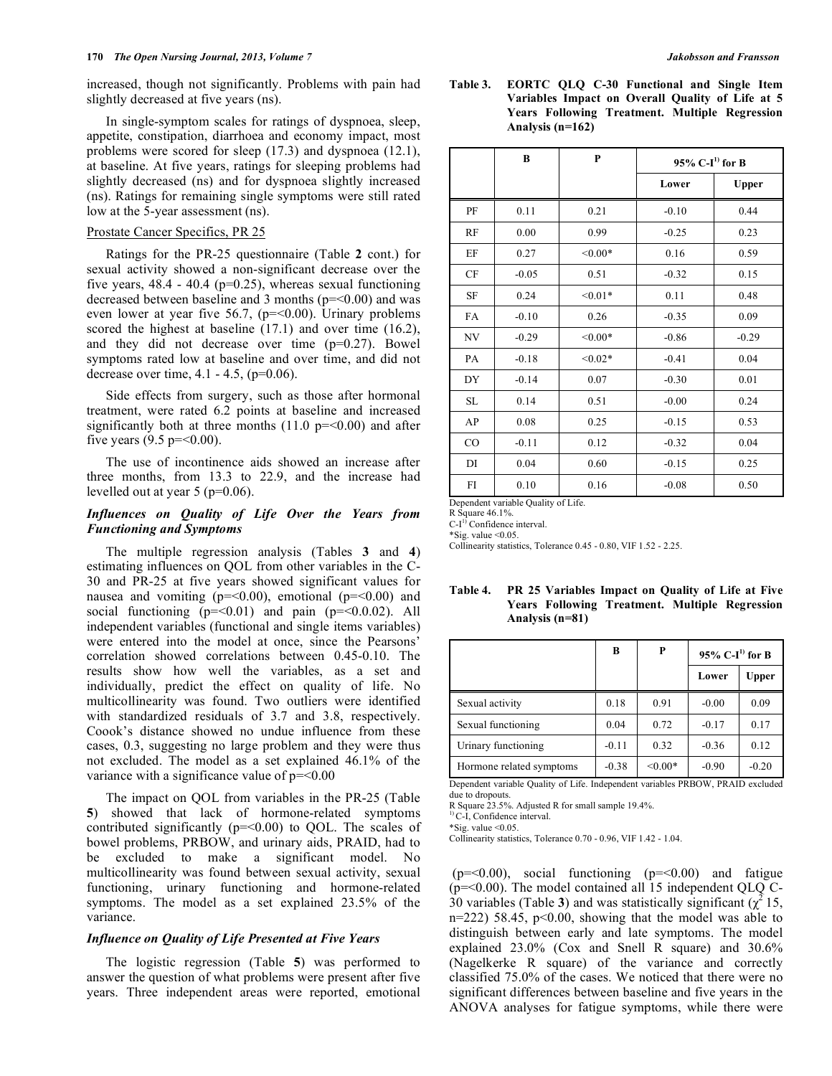increased, though not significantly. Problems with pain had slightly decreased at five years (ns).

In single-symptom scales for ratings of dyspnoea, sleep, appetite, constipation, diarrhoea and economy impact, most problems were scored for sleep (17.3) and dyspnoea (12.1), at baseline. At five years, ratings for sleeping problems had slightly decreased (ns) and for dyspnoea slightly increased (ns). Ratings for remaining single symptoms were still rated low at the 5-year assessment (ns).

#### Prostate Cancer Specifics, PR 25

Ratings for the PR-25 questionnaire (Table **2** cont.) for sexual activity showed a non-significant decrease over the five years,  $48.4 - 40.4$  (p=0.25), whereas sexual functioning decreased between baseline and 3 months (p=<0.00) and was even lower at year five 56.7, ( $p = 0.00$ ). Urinary problems scored the highest at baseline (17.1) and over time (16.2), and they did not decrease over time (p=0.27). Bowel symptoms rated low at baseline and over time, and did not decrease over time, 4.1 - 4.5, (p=0.06).

Side effects from surgery, such as those after hormonal treatment, were rated 6.2 points at baseline and increased significantly both at three months  $(11.0 \text{ p} = 0.00)$  and after five years  $(9.5 \text{ p} = 0.00)$ .

The use of incontinence aids showed an increase after three months, from 13.3 to 22.9, and the increase had levelled out at year 5 (p=0.06).

# *Influences on Quality of Life Over the Years from Functioning and Symptoms*

The multiple regression analysis (Tables **3** and **4**) estimating influences on QOL from other variables in the C-30 and PR-25 at five years showed significant values for nausea and vomiting  $(p = 0.00)$ , emotional  $(p = 0.00)$  and social functioning  $(p=-0.01)$  and pain  $(p=-0.002)$ . All independent variables (functional and single items variables) were entered into the model at once, since the Pearsons' correlation showed correlations between 0.45-0.10. The results show how well the variables, as a set and individually, predict the effect on quality of life. No multicollinearity was found. Two outliers were identified with standardized residuals of 3.7 and 3.8, respectively. Coook's distance showed no undue influence from these cases, 0.3, suggesting no large problem and they were thus not excluded. The model as a set explained 46.1% of the variance with a significance value of  $p = 0.00$ 

The impact on QOL from variables in the PR-25 (Table **5**) showed that lack of hormone-related symptoms contributed significantly  $(p=<0.00)$  to QOL. The scales of bowel problems, PRBOW, and urinary aids, PRAID, had to be excluded to make a significant model. No multicollinearity was found between sexual activity, sexual functioning, urinary functioning and hormone-related symptoms. The model as a set explained 23.5% of the variance.

# *Influence on Quality of Life Presented at Five Years*

The logistic regression (Table **5**) was performed to answer the question of what problems were present after five years. Three independent areas were reported, emotional **Table 3. EORTC QLQ C-30 Functional and Single Item Variables Impact on Overall Quality of Life at 5 Years Following Treatment. Multiple Regression Analysis (n=162)**

|             | B       | P         | 95% $C-I^{1}$ for B |              |
|-------------|---------|-----------|---------------------|--------------|
|             |         |           | Lower               | <b>Upper</b> |
| PF          | 0.11    | 0.21      | $-0.10$             | 0.44         |
| RF          | 0.00    | 0.99      | $-0.25$             | 0.23         |
| EF          | 0.27    | $< 0.00*$ | 0.16                | 0.59         |
| CF          | $-0.05$ | 0.51      | $-0.32$             | 0.15         |
| <b>SF</b>   | 0.24    | $< 0.01*$ | 0.11                | 0.48         |
| FA          | $-0.10$ | 0.26      | $-0.35$             | 0.09         |
| NV          | $-0.29$ | $< 0.00*$ | $-0.86$             | $-0.29$      |
| PA          | $-0.18$ | $< 0.02*$ | $-0.41$             | 0.04         |
| DY          | $-0.14$ | 0.07      | $-0.30$             | 0.01         |
| SL          | 0.14    | 0.51      | $-0.00$             | 0.24         |
| AP          | 0.08    | 0.25      | $-0.15$             | 0.53         |
| $_{\rm CO}$ | $-0.11$ | 0.12      | $-0.32$             | 0.04         |
| DI          | 0.04    | 0.60      | $-0.15$             | 0.25         |
| FI          | 0.10    | 0.16      | $-0.08$             | 0.50         |

Dependent variable Quality of Life.

R Square 46.1%.

C-I<sup>1</sup> Confidence interval.  $*$ Sig. value < $0.05$ .

Collinearity statistics, Tolerance 0.45 - 0.80, VIF 1.52 - 2.25.

| Analysis $(n=81)$   |         |                                 |         |       |  |  |
|---------------------|---------|---------------------------------|---------|-------|--|--|
|                     | B       | P<br>95% C-I <sup>1</sup> for B |         |       |  |  |
|                     |         |                                 | Lower   | Upper |  |  |
| Sexual activity     | 0.18    | 0.91                            | $-0.00$ | 0.09  |  |  |
| Sexual functioning  | 0.04    | 0.72                            | $-0.17$ | 0.17  |  |  |
| Urinary functioning | $-0.11$ | 0.32                            | $-0.36$ | 0.12  |  |  |

# **Table 4. PR 25 Variables Impact on Quality of Life at Five Years Following Treatment. Multiple Regression**

Hormone related symptoms  $\vert$  -0.38  $\vert$  <0.00\*  $\vert$  -0.90  $\vert$  -0.20 Dependent variable Quality of Life. Independent variables PRBOW, PRAID excluded due to dropouts.

R Square 23.5%. Adjusted R for small sample 19.4%. 1) C-I, Confidence interval.

\*Sig. value <0.05.

Collinearity statistics, Tolerance 0.70 - 0.96, VIF 1.42 - 1.04.

 $(p=-0.00)$ , social functioning  $(p=-0.00)$  and fatigue (p=<0.00). The model contained all 15 independent QLQ C- $30$  variables (Table 3) and was statistically significant  $(\chi^2 15,$  $n=222$ ) 58.45,  $p<0.00$ , showing that the model was able to distinguish between early and late symptoms. The model explained 23.0% (Cox and Snell R square) and 30.6% (Nagelkerke R square) of the variance and correctly classified 75.0% of the cases. We noticed that there were no significant differences between baseline and five years in the ANOVA analyses for fatigue symptoms, while there were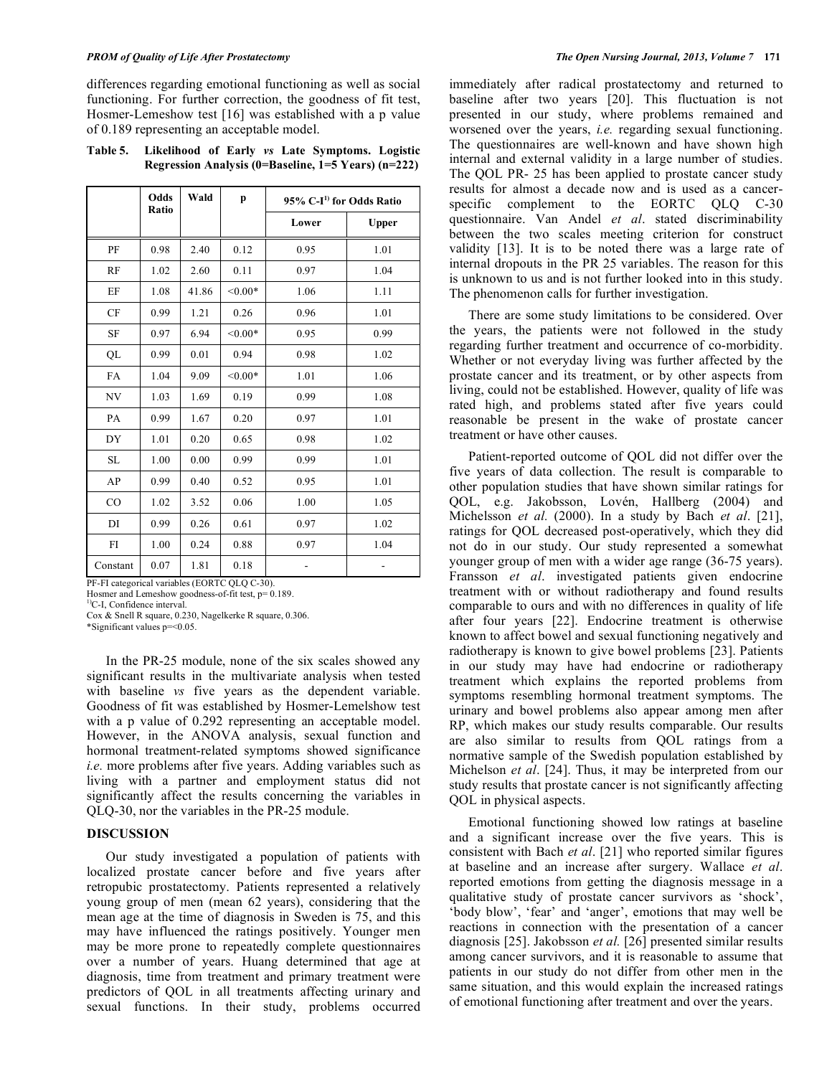differences regarding emotional functioning as well as social functioning. For further correction, the goodness of fit test, Hosmer-Lemeshow test [16] was established with a p value of 0.189 representing an acceptable model.

**Table 5. Likelihood of Early** *vs* **Late Symptoms. Logistic Regression Analysis (0=Baseline, 1=5 Years) (n=222)**

|          | Odds<br>Ratio | Wald  | p         | 95% C-I <sup>1</sup> for Odds Ratio |              |
|----------|---------------|-------|-----------|-------------------------------------|--------------|
|          |               |       |           | Lower                               | <b>Upper</b> |
| PF       | 0.98          | 2.40  | 0.12      | 0.95                                | 1.01         |
| RF       | 1.02          | 2.60  | 0.11      | 0.97                                | 1.04         |
| EF       | 1.08          | 41.86 | $< 0.00*$ | 1.06                                | 1.11         |
| CF       | 0.99          | 1.21  | 0.26      | 0.96                                | 1.01         |
| SF       | 0.97          | 6.94  | $< 0.00*$ | 0.95                                | 0.99         |
| QL       | 0.99          | 0.01  | 0.94      | 0.98                                | 1.02         |
| FA       | 1.04          | 9.09  | $< 0.00*$ | 1.01                                | 1.06         |
| NV       | 1.03          | 1.69  | 0.19      | 0.99                                | 1.08         |
| PA       | 0.99          | 1.67  | 0.20      | 0.97                                | 1.01         |
| DY       | 1.01          | 0.20  | 0.65      | 0.98                                | 1.02         |
| SL       | 1.00          | 0.00  | 0.99      | 0.99                                | 1.01         |
| AP       | 0.99          | 0.40  | 0.52      | 0.95                                | 1.01         |
| CO       | 1.02          | 3.52  | 0.06      | 1.00                                | 1.05         |
| DI       | 0.99          | 0.26  | 0.61      | 0.97                                | 1.02         |
| FI       | 1.00          | 0.24  | 0.88      | 0.97                                | 1.04         |
| Constant | 0.07          | 1.81  | 0.18      |                                     |              |

PF-FI categorical variables (EORTC QLQ C-30).

Hosmer and Lemeshow goodness-of-fit test, p= 0.189.

<sup>1)</sup>C-I, Confidence interval.

Cox & Snell R square, 0.230, Nagelkerke R square, 0.306.

\*Significant values p=<0.05.

In the PR-25 module, none of the six scales showed any significant results in the multivariate analysis when tested with baseline *vs* five years as the dependent variable. Goodness of fit was established by Hosmer-Lemelshow test with a p value of 0.292 representing an acceptable model. However, in the ANOVA analysis, sexual function and hormonal treatment-related symptoms showed significance *i.e.* more problems after five years. Adding variables such as living with a partner and employment status did not significantly affect the results concerning the variables in QLQ-30, nor the variables in the PR-25 module.

## **DISCUSSION**

Our study investigated a population of patients with localized prostate cancer before and five years after retropubic prostatectomy. Patients represented a relatively young group of men (mean 62 years), considering that the mean age at the time of diagnosis in Sweden is 75, and this may have influenced the ratings positively. Younger men may be more prone to repeatedly complete questionnaires over a number of years. Huang determined that age at diagnosis, time from treatment and primary treatment were predictors of QOL in all treatments affecting urinary and sexual functions. In their study, problems occurred

immediately after radical prostatectomy and returned to baseline after two years [20]. This fluctuation is not presented in our study, where problems remained and worsened over the years, *i.e.* regarding sexual functioning. The questionnaires are well-known and have shown high internal and external validity in a large number of studies. The QOL PR- 25 has been applied to prostate cancer study results for almost a decade now and is used as a cancerspecific complement to the EORTC OLO C-30 questionnaire. Van Andel *et al*. stated discriminability between the two scales meeting criterion for construct validity [13]. It is to be noted there was a large rate of internal dropouts in the PR 25 variables. The reason for this is unknown to us and is not further looked into in this study. The phenomenon calls for further investigation.

There are some study limitations to be considered. Over the years, the patients were not followed in the study regarding further treatment and occurrence of co-morbidity. Whether or not everyday living was further affected by the prostate cancer and its treatment, or by other aspects from living, could not be established. However, quality of life was rated high, and problems stated after five years could reasonable be present in the wake of prostate cancer treatment or have other causes.

Patient-reported outcome of QOL did not differ over the five years of data collection. The result is comparable to other population studies that have shown similar ratings for QOL, e.g. Jakobsson, Lovén, Hallberg (2004) and Michelsson *et al.* (2000). In a study by Bach *et al*. [21], ratings for QOL decreased post-operatively, which they did not do in our study. Our study represented a somewhat younger group of men with a wider age range (36-75 years). Fransson *et al*. investigated patients given endocrine treatment with or without radiotherapy and found results comparable to ours and with no differences in quality of life after four years [22]. Endocrine treatment is otherwise known to affect bowel and sexual functioning negatively and radiotherapy is known to give bowel problems [23]. Patients in our study may have had endocrine or radiotherapy treatment which explains the reported problems from symptoms resembling hormonal treatment symptoms. The urinary and bowel problems also appear among men after RP, which makes our study results comparable. Our results are also similar to results from QOL ratings from a normative sample of the Swedish population established by Michelson *et al*. [24]. Thus, it may be interpreted from our study results that prostate cancer is not significantly affecting QOL in physical aspects.

Emotional functioning showed low ratings at baseline and a significant increase over the five years. This is consistent with Bach *et al*. [21] who reported similar figures at baseline and an increase after surgery. Wallace *et al*. reported emotions from getting the diagnosis message in a qualitative study of prostate cancer survivors as 'shock', 'body blow', 'fear' and 'anger', emotions that may well be reactions in connection with the presentation of a cancer diagnosis [25]. Jakobsson *et al.* [26] presented similar results among cancer survivors, and it is reasonable to assume that patients in our study do not differ from other men in the same situation, and this would explain the increased ratings of emotional functioning after treatment and over the years.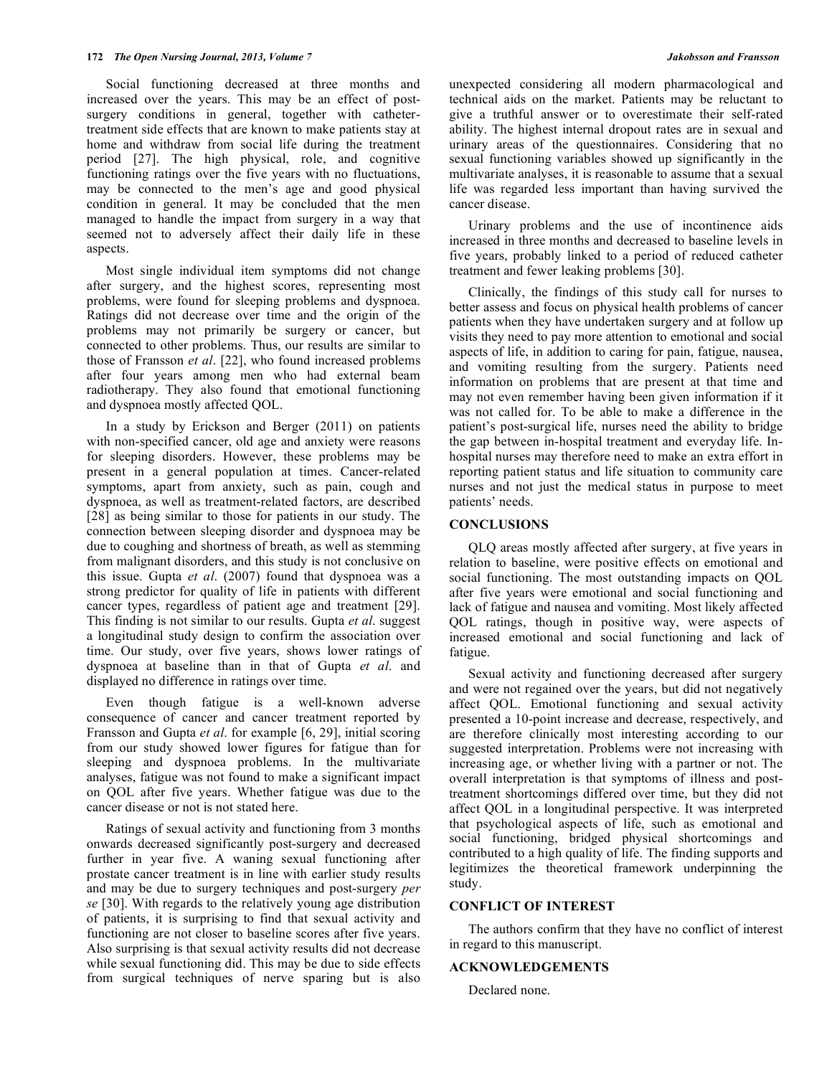Social functioning decreased at three months and increased over the years. This may be an effect of postsurgery conditions in general, together with cathetertreatment side effects that are known to make patients stay at home and withdraw from social life during the treatment period [27]. The high physical, role, and cognitive functioning ratings over the five years with no fluctuations, may be connected to the men's age and good physical condition in general. It may be concluded that the men managed to handle the impact from surgery in a way that seemed not to adversely affect their daily life in these aspects.

Most single individual item symptoms did not change after surgery, and the highest scores, representing most problems, were found for sleeping problems and dyspnoea. Ratings did not decrease over time and the origin of the problems may not primarily be surgery or cancer, but connected to other problems. Thus, our results are similar to those of Fransson *et al*. [22], who found increased problems after four years among men who had external beam radiotherapy. They also found that emotional functioning and dyspnoea mostly affected QOL.

In a study by Erickson and Berger (2011) on patients with non-specified cancer, old age and anxiety were reasons for sleeping disorders. However, these problems may be present in a general population at times. Cancer-related symptoms, apart from anxiety, such as pain, cough and dyspnoea, as well as treatment-related factors, are described [28] as being similar to those for patients in our study. The connection between sleeping disorder and dyspnoea may be due to coughing and shortness of breath, as well as stemming from malignant disorders, and this study is not conclusive on this issue. Gupta *et al*. (2007) found that dyspnoea was a strong predictor for quality of life in patients with different cancer types, regardless of patient age and treatment [29]. This finding is not similar to our results. Gupta *et al*. suggest a longitudinal study design to confirm the association over time. Our study, over five years, shows lower ratings of dyspnoea at baseline than in that of Gupta *et al*. and displayed no difference in ratings over time.

Even though fatigue is a well-known adverse consequence of cancer and cancer treatment reported by Fransson and Gupta *et al*. for example [6, 29], initial scoring from our study showed lower figures for fatigue than for sleeping and dyspnoea problems. In the multivariate analyses, fatigue was not found to make a significant impact on QOL after five years. Whether fatigue was due to the cancer disease or not is not stated here.

Ratings of sexual activity and functioning from 3 months onwards decreased significantly post-surgery and decreased further in year five. A waning sexual functioning after prostate cancer treatment is in line with earlier study results and may be due to surgery techniques and post-surgery *per se* [30]. With regards to the relatively young age distribution of patients, it is surprising to find that sexual activity and functioning are not closer to baseline scores after five years. Also surprising is that sexual activity results did not decrease while sexual functioning did. This may be due to side effects from surgical techniques of nerve sparing but is also

unexpected considering all modern pharmacological and technical aids on the market. Patients may be reluctant to give a truthful answer or to overestimate their self-rated ability. The highest internal dropout rates are in sexual and urinary areas of the questionnaires. Considering that no sexual functioning variables showed up significantly in the multivariate analyses, it is reasonable to assume that a sexual life was regarded less important than having survived the cancer disease.

Urinary problems and the use of incontinence aids increased in three months and decreased to baseline levels in five years, probably linked to a period of reduced catheter treatment and fewer leaking problems [30].

Clinically, the findings of this study call for nurses to better assess and focus on physical health problems of cancer patients when they have undertaken surgery and at follow up visits they need to pay more attention to emotional and social aspects of life, in addition to caring for pain, fatigue, nausea, and vomiting resulting from the surgery. Patients need information on problems that are present at that time and may not even remember having been given information if it was not called for. To be able to make a difference in the patient's post-surgical life, nurses need the ability to bridge the gap between in-hospital treatment and everyday life. Inhospital nurses may therefore need to make an extra effort in reporting patient status and life situation to community care nurses and not just the medical status in purpose to meet patients' needs.

# **CONCLUSIONS**

QLQ areas mostly affected after surgery, at five years in relation to baseline, were positive effects on emotional and social functioning. The most outstanding impacts on QOL after five years were emotional and social functioning and lack of fatigue and nausea and vomiting. Most likely affected QOL ratings, though in positive way, were aspects of increased emotional and social functioning and lack of fatigue.

Sexual activity and functioning decreased after surgery and were not regained over the years, but did not negatively affect QOL. Emotional functioning and sexual activity presented a 10-point increase and decrease, respectively, and are therefore clinically most interesting according to our suggested interpretation. Problems were not increasing with increasing age, or whether living with a partner or not. The overall interpretation is that symptoms of illness and posttreatment shortcomings differed over time, but they did not affect QOL in a longitudinal perspective. It was interpreted that psychological aspects of life, such as emotional and social functioning, bridged physical shortcomings and contributed to a high quality of life. The finding supports and legitimizes the theoretical framework underpinning the study.

# **CONFLICT OF INTEREST**

The authors confirm that they have no conflict of interest in regard to this manuscript.

### **ACKNOWLEDGEMENTS**

Declared none.